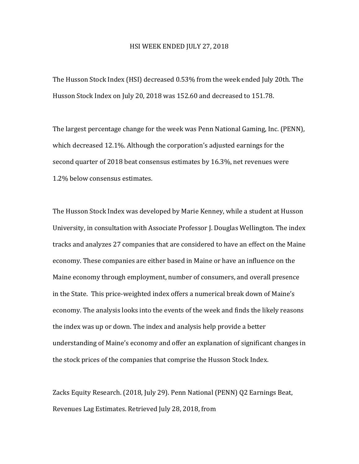## HSI WEEK ENDED JULY 27, 2018

The Husson Stock Index (HSI) decreased 0.53% from the week ended July 20th. The Husson Stock Index on July 20, 2018 was 152.60 and decreased to 151.78.

The largest percentage change for the week was Penn National Gaming, Inc. (PENN), which decreased  $12.1\%$ . Although the corporation's adjusted earnings for the second quarter of 2018 beat consensus estimates by 16.3%, net revenues were 1.2% below consensus estimates.

The Husson Stock Index was developed by Marie Kenney, while a student at Husson University, in consultation with Associate Professor J. Douglas Wellington. The index tracks and analyzes 27 companies that are considered to have an effect on the Maine economy. These companies are either based in Maine or have an influence on the Maine economy through employment, number of consumers, and overall presence in the State. This price-weighted index offers a numerical break down of Maine's economy. The analysis looks into the events of the week and finds the likely reasons the index was up or down. The index and analysis help provide a better understanding of Maine's economy and offer an explanation of significant changes in the stock prices of the companies that comprise the Husson Stock Index.

Zacks Equity Research. (2018, July 29). Penn National (PENN) Q2 Earnings Beat, Revenues Lag Estimates. Retrieved July 28, 2018, from